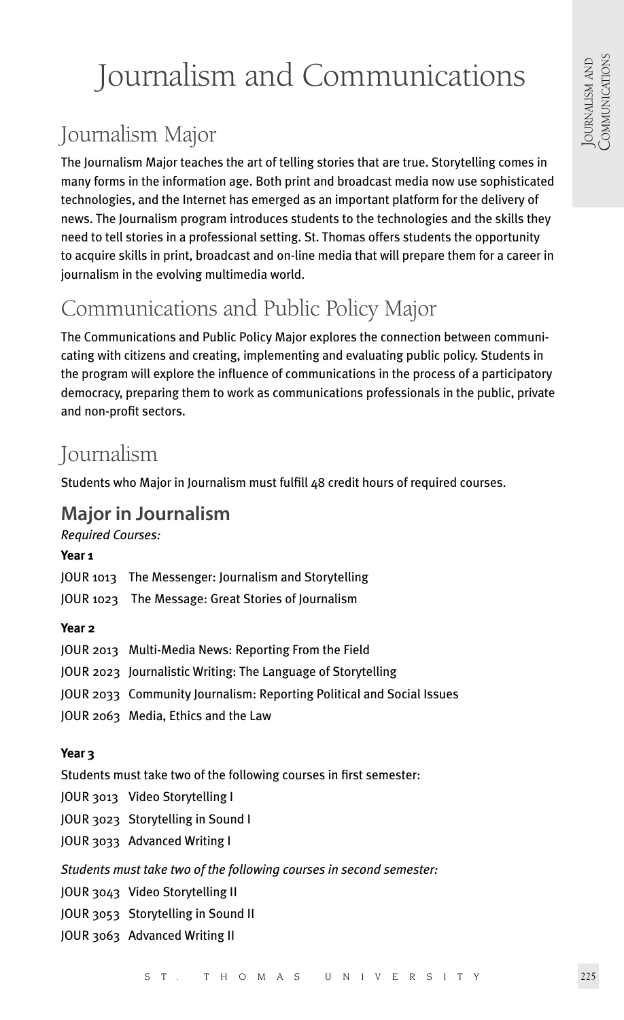# Journalism and Communications

# Journalism Major

The Journalism Major teaches the art of telling stories that are true. Storytelling comes in many forms in the information age. Both print and broadcast media now use sophisticated technologies, and the Internet has emerged as an important platform for the delivery of news. The Journalism program introduces students to the technologies and the skills they need to tell stories in a professional setting. St. Thomas offers students the opportunity to acquire skills in print, broadcast and on-line media that will prepare them for a career in journalism in the evolving multimedia world.

# Communications and Public Policy Major

The Communications and Public Policy Major explores the connection between communicating with citizens and creating, implementing and evaluating public policy. Students in the program will explore the influence of communications in the process of a participatory democracy, preparing them to work as communications professionals in the public, private and non-profit sectors.

## Journalism

Students who Major in Journalism must fulfill 48 credit hours of required courses.

### **Major in Journalism**

*Required Courses:*

#### **Year 1**

JOUR 1013 The Messenger: Journalism and Storytelling

JOUR 1023 The Message: Great Stories of Journalism

#### **Year 2**

| JOUR 2013 Multi-Media News: Reporting From the Field                  |
|-----------------------------------------------------------------------|
| JOUR 2023 Journalistic Writing: The Language of Storytelling          |
| JOUR 2033 Community Journalism: Reporting Political and Social Issues |
| JOUR 2063 Media, Ethics and the Law                                   |

#### **Year 3**

Students must take two of the following courses in first semester:

- JOUR 3013 Video Storytelling I
- JOUR 3023 Storytelling in Sound I
- JOUR 3033 Advanced Writing I

*Students must take two of the following courses in second semester:* 

- JOUR 3043 Video Storytelling II
- JOUR 3053 Storytelling in Sound II
- JOUR 3063 Advanced Writing II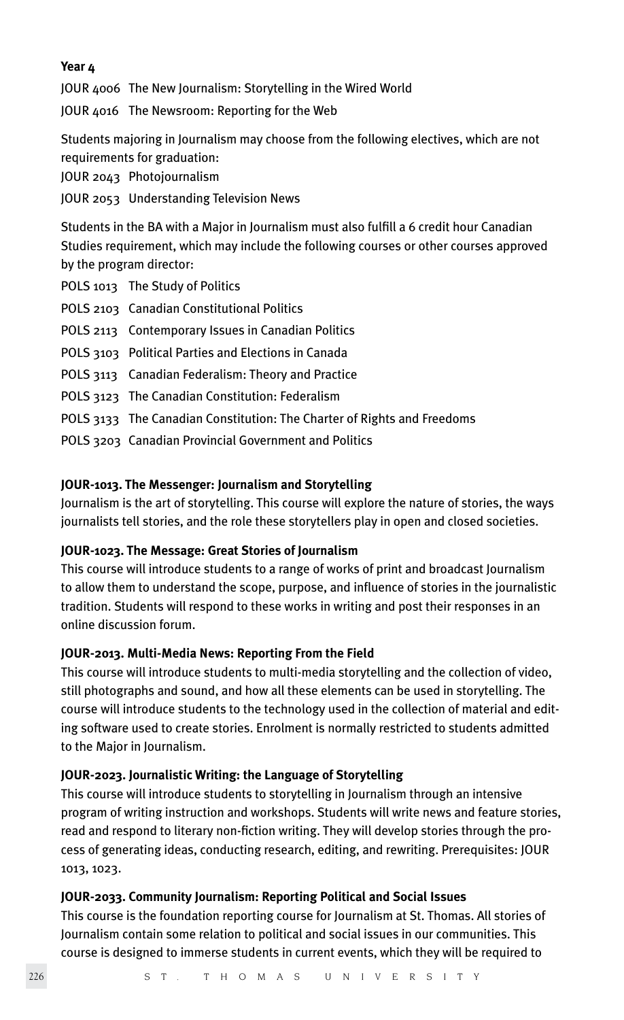#### **Year 4**

JOUR 4006 The New Journalism: Storytelling in the Wired World

JOUR 4016 The Newsroom: Reporting for the Web

Students majoring in Journalism may choose from the following electives, which are not requirements for graduation:

JOUR 2043 Photojournalism

JOUR 2053 Understanding Television News

Students in the BA with a Major in Journalism must also fulfill a 6 credit hour Canadian Studies requirement, which may include the following courses or other courses approved by the program director:

POLS 1013 The Study of Politics

- POLS 2103 Canadian Constitutional Politics
- POLS 2113 Contemporary Issues in Canadian Politics
- POLS 3103 Political Parties and Elections in Canada
- POLS 3113 Canadian Federalism: Theory and Practice
- POLS 3123 The Canadian Constitution: Federalism
- POLS 3133 The Canadian Constitution: The Charter of Rights and Freedoms
- POLS 3203 Canadian Provincial Government and Politics

#### **JOUR-1013. The Messenger: Journalism and Storytelling**

Journalism is the art of storytelling. This course will explore the nature of stories, the ways journalists tell stories, and the role these storytellers play in open and closed societies.

#### **JOUR-1023. The Message: Great Stories of Journalism**

This course will introduce students to a range of works of print and broadcast Journalism to allow them to understand the scope, purpose, and influence of stories in the journalistic tradition. Students will respond to these works in writing and post their responses in an online discussion forum.

#### **JOUR-2013. Multi-Media News: Reporting From the Field**

This course will introduce students to multi-media storytelling and the collection of video, still photographs and sound, and how all these elements can be used in storytelling. The course will introduce students to the technology used in the collection of material and editing software used to create stories. Enrolment is normally restricted to students admitted to the Major in Journalism.

#### **JOUR-2023. Journalistic Writing: the Language of Storytelling**

This course will introduce students to storytelling in Journalism through an intensive program of writing instruction and workshops. Students will write news and feature stories, read and respond to literary non-fiction writing. They will develop stories through the process of generating ideas, conducting research, editing, and rewriting. Prerequisites: JOUR 1013, 1023.

#### **JOUR-2033. Community Journalism: Reporting Political and Social Issues**

This course is the foundation reporting course for Journalism at St. Thomas. All stories of Journalism contain some relation to political and social issues in our communities. This course is designed to immerse students in current events, which they will be required to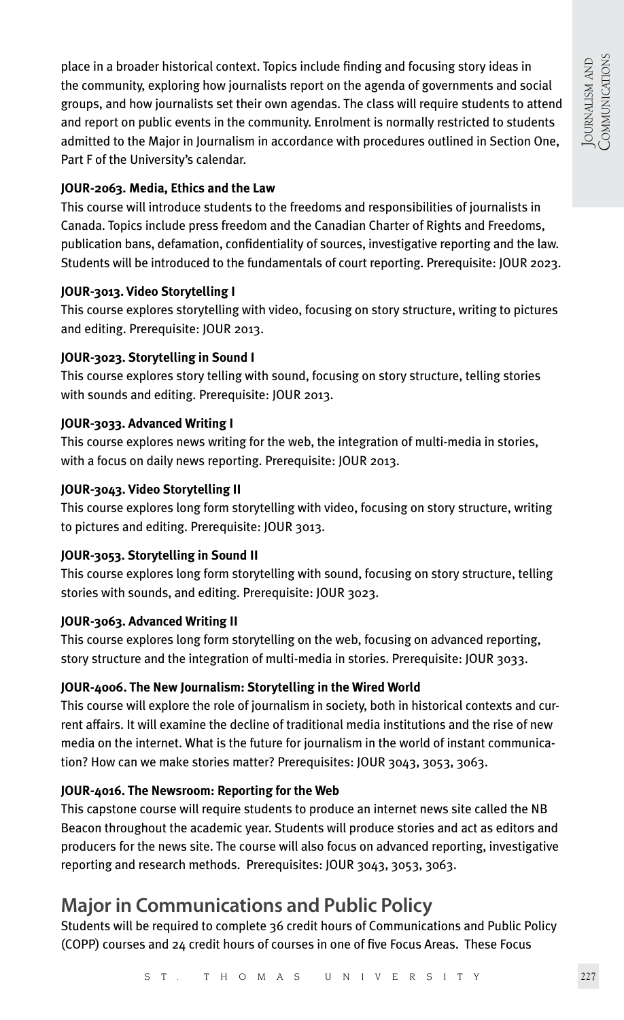place in a broader historical context. Topics include finding and focusing story ideas in the community, exploring how journalists report on the agenda of governments and social groups, and how journalists set their own agendas. The class will require students to attend and report on public events in the community. Enrolment is normally restricted to students admitted to the Major in Journalism in accordance with procedures outlined in Section One, Part F of the University's calendar.

#### **JOUR-2063. Media, Ethics and the Law**

This course will introduce students to the freedoms and responsibilities of journalists in Canada. Topics include press freedom and the Canadian Charter of Rights and Freedoms, publication bans, defamation, confidentiality of sources, investigative reporting and the law. Students will be introduced to the fundamentals of court reporting. Prerequisite: JOUR 2023.

#### **JOUR-3013. Video Storytelling I**

This course explores storytelling with video, focusing on story structure, writing to pictures and editing. Prerequisite: JOUR 2013.

#### **JOUR-3023. Storytelling in Sound I**

This course explores story telling with sound, focusing on story structure, telling stories with sounds and editing. Prerequisite: JOUR 2013.

#### **JOUR-3033. Advanced Writing I**

This course explores news writing for the web, the integration of multi-media in stories, with a focus on daily news reporting. Prerequisite: JOUR 2013.

#### **JOUR-3043. Video Storytelling II**

This course explores long form storytelling with video, focusing on story structure, writing to pictures and editing. Prerequisite: JOUR 3013.

#### **JOUR-3053. Storytelling in Sound II**

This course explores long form storytelling with sound, focusing on story structure, telling stories with sounds, and editing. Prerequisite: JOUR 3023.

#### **JOUR-3063. Advanced Writing II**

This course explores long form storytelling on the web, focusing on advanced reporting, story structure and the integration of multi-media in stories. Prerequisite: JOUR 3033.

#### **JOUR-4006. The New Journalism: Storytelling in the Wired World**

This course will explore the role of journalism in society, both in historical contexts and current affairs. It will examine the decline of traditional media institutions and the rise of new media on the internet. What is the future for journalism in the world of instant communication? How can we make stories matter? Prerequisites: JOUR 3043, 3053, 3063.

#### **JOUR-4016. The Newsroom: Reporting for the Web**

This capstone course will require students to produce an internet news site called the NB Beacon throughout the academic year. Students will produce stories and act as editors and producers for the news site. The course will also focus on advanced reporting, investigative reporting and research methods. Prerequisites: JOUR 3043, 3053, 3063.

### **Major in Communications and Public Policy**

Students will be required to complete 36 credit hours of Communications and Public Policy (COPP) courses and 24 credit hours of courses in one of five Focus Areas. These Focus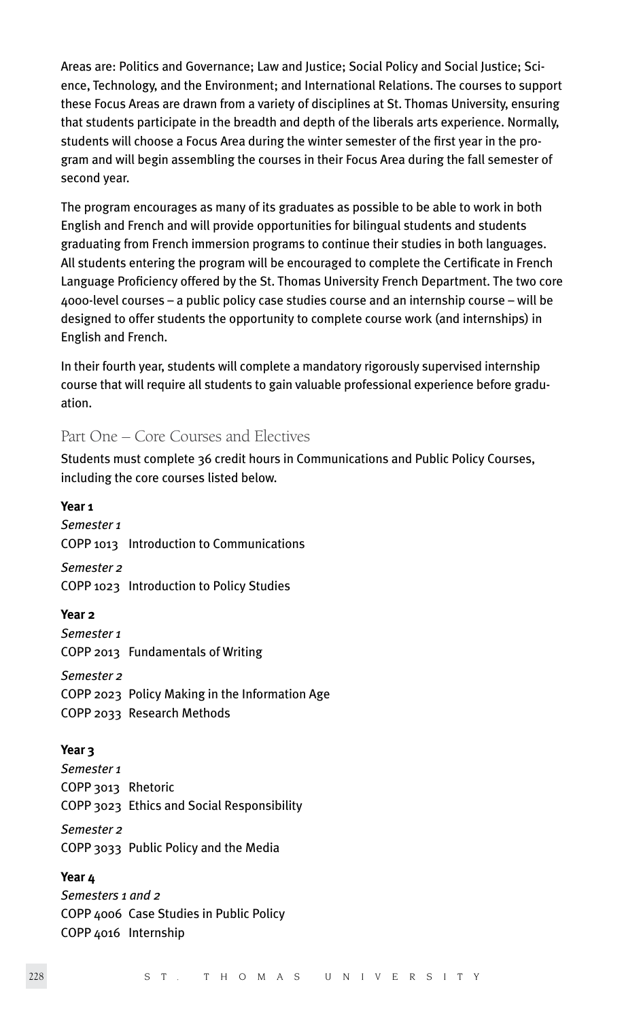Areas are: Politics and Governance; Law and Justice; Social Policy and Social Justice; Science, Technology, and the Environment; and International Relations. The courses to support these Focus Areas are drawn from a variety of disciplines at St. Thomas University, ensuring that students participate in the breadth and depth of the liberals arts experience. Normally, students will choose a Focus Area during the winter semester of the first year in the program and will begin assembling the courses in their Focus Area during the fall semester of second year.

The program encourages as many of its graduates as possible to be able to work in both English and French and will provide opportunities for bilingual students and students graduating from French immersion programs to continue their studies in both languages. All students entering the program will be encouraged to complete the Certificate in French Language Proficiency offered by the St. Thomas University French Department. The two core 4000-level courses – a public policy case studies course and an internship course – will be designed to offer students the opportunity to complete course work (and internships) in English and French.

In their fourth year, students will complete a mandatory rigorously supervised internship course that will require all students to gain valuable professional experience before graduation.

Part One – Core Courses and Electives

Students must complete 36 credit hours in Communications and Public Policy Courses, including the core courses listed below.

**Year 1** *Semester 1* COPP 1013 Introduction to Communications *Semester 2* COPP 1023 Introduction to Policy Studies **Year 2** *Semester 1* COPP 2013 Fundamentals of Writing *Semester 2* COPP 2023 Policy Making in the Information Age COPP 2033 Research Methods **Year 3** *Semester 1* COPP 3013 Rhetoric COPP 3023 Ethics and Social Responsibility *Semester 2* COPP 3033 Public Policy and the Media **Year 4** *Semesters 1 and 2* COPP 4006 Case Studies in Public Policy COPP 4016 Internship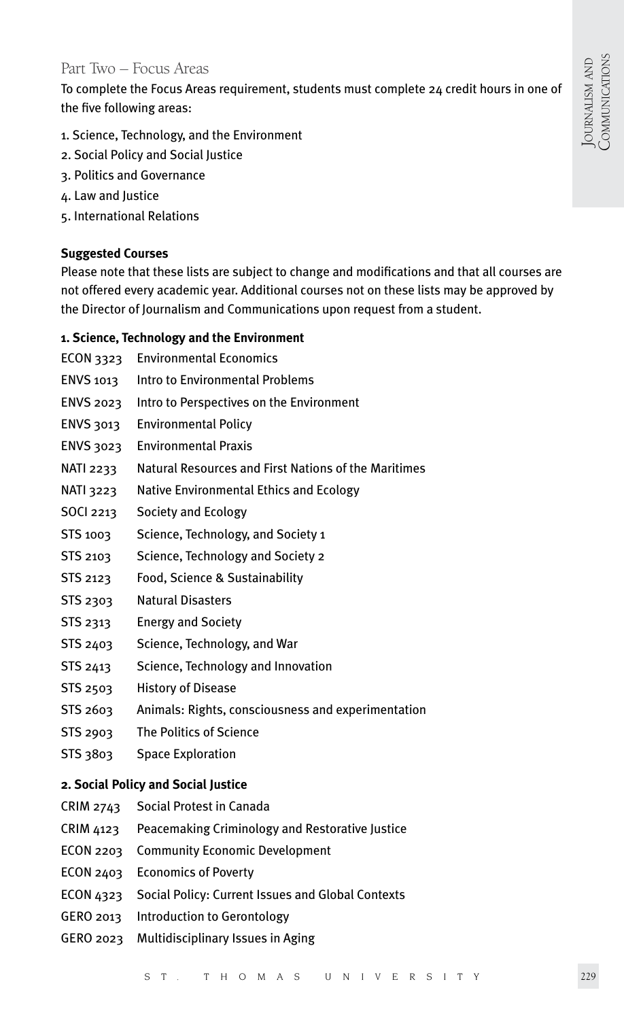#### Part Two – Focus Areas

To complete the Focus Areas requirement, students must complete 24 credit hours in one of the five following areas:

- 1. Science, Technology, and the Environment
- 2. Social Policy and Social Justice
- 3. Politics and Governance
- 4. Law and Justice
- 5. International Relations

#### **Suggested Courses**

Please note that these lists are subject to change and modifications and that all courses are not offered every academic year. Additional courses not on these lists may be approved by the Director of Journalism and Communications upon request from a student.

#### **1. Science, Technology and the Environment**

- ECON 3323 Environmental Economics
- ENVS 1013 Intro to Environmental Problems
- ENVS 2023 Intro to Perspectives on the Environment
- ENVS 3013 Environmental Policy
- ENVS 3023 Environmental Praxis
- NATI 2233 Natural Resources and First Nations of the Maritimes
- NATI 3223 Native Environmental Ethics and Ecology
- SOCI 2213 Society and Ecology
- STS 1003 Science, Technology, and Society 1
- STS 2103 Science, Technology and Society 2
- STS 2123 Food, Science & Sustainability
- STS 2303 Natural Disasters
- STS 2313 Energy and Society
- STS 2403 Science, Technology, and War
- STS 2413 Science, Technology and Innovation
- STS 2503 History of Disease
- STS 2603 Animals: Rights, consciousness and experimentation
- STS 2903 The Politics of Science
- STS 3803 Space Exploration

#### **2. Social Policy and Social Justice**

- CRIM 2743 Social Protest in Canada
- CRIM 4123 Peacemaking Criminology and Restorative Justice
- ECON 2203 Community Economic Development
- ECON 2403 Economics of Poverty
- ECON 4323 Social Policy: Current Issues and Global Contexts
- GERO 2013 Introduction to Gerontology
- GERO 2023 Multidisciplinary Issues in Aging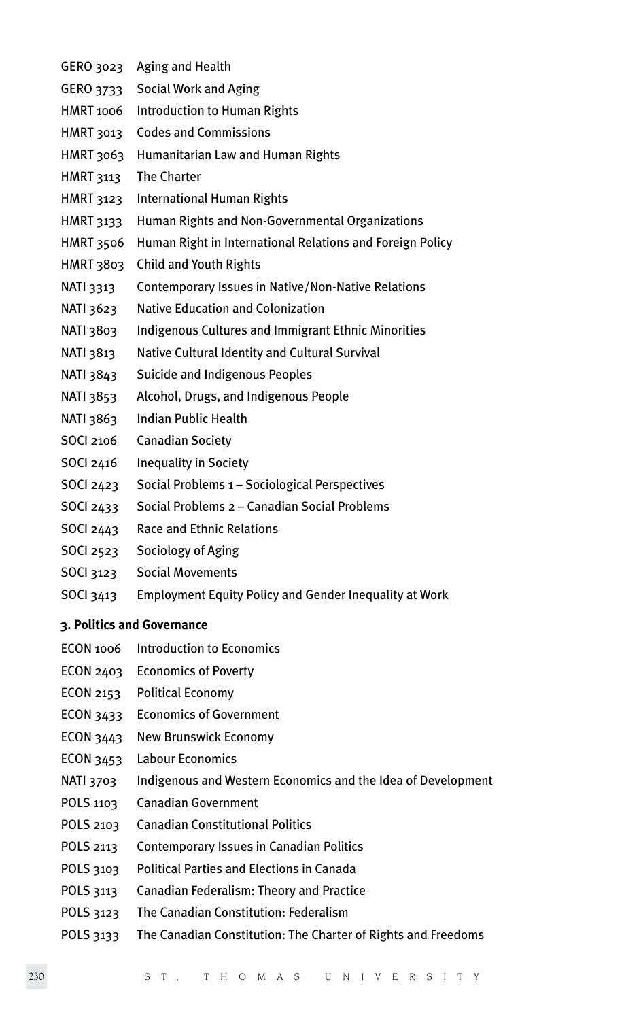- GERO 3023 Aging and Health
- GERO 3733 Social Work and Aging
- HMRT 1006 Introduction to Human Rights
- HMRT 3013 Codes and Commissions
- HMRT 3063 Humanitarian Law and Human Rights
- HMRT 3113 The Charter
- HMRT 3123 International Human Rights
- HMRT 3133 Human Rights and Non-Governmental Organizations
- HMRT 3506 Human Right in International Relations and Foreign Policy
- HMRT 3803 Child and Youth Rights
- NATI 3313 Contemporary Issues in Native/Non-Native Relations
- NATI 3623 Native Education and Colonization
- NATI 3803 Indigenous Cultures and Immigrant Ethnic Minorities
- NATI 3813 Native Cultural Identity and Cultural Survival
- NATI 3843 Suicide and Indigenous Peoples
- NATI 3853 Alcohol, Drugs, and Indigenous People
- NATI 3863 Indian Public Health
- SOCI 2106 Canadian Society
- SOCI 2416 Inequality in Society
- SOCI 2423 Social Problems 1 Sociological Perspectives
- SOCI 2433 Social Problems 2 Canadian Social Problems
- SOCI 2443 Race and Ethnic Relations
- SOCI 2523 Sociology of Aging
- SOCI 3123 Social Movements
- SOCI 3413 Employment Equity Policy and Gender Inequality at Work

#### **3. Politics and Governance**

- ECON 1006 Introduction to Economics
- ECON 2403 Economics of Poverty
- ECON 2153 Political Economy
- ECON 3433 Economics of Government
- ECON 3443 New Brunswick Economy
- ECON 3453 Labour Economics
- NATI 3703 Indigenous and Western Economics and the Idea of Development
- POLS 1103 Canadian Government
- POLS 2103 Canadian Constitutional Politics
- POLS 2113 Contemporary Issues in Canadian Politics
- POLS 3103 Political Parties and Elections in Canada
- POLS 3113 Canadian Federalism: Theory and Practice
- POLS 3123 The Canadian Constitution: Federalism
- POLS 3133 The Canadian Constitution: The Charter of Rights and Freedoms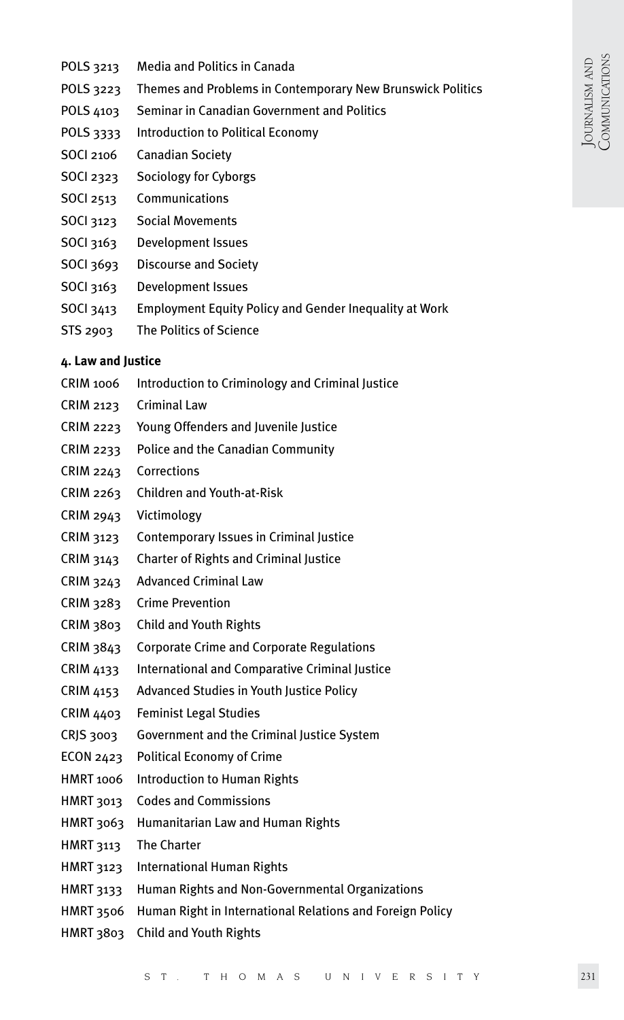- POLS 3213 Media and Politics in Canada
- POLS 3223 Themes and Problems in Contemporary New Brunswick Politics
- POLS 4103 Seminar in Canadian Government and Politics
- POLS 3333 Introduction to Political Economy
- SOCI 2106 Canadian Society
- SOCI 2323 Sociology for Cyborgs
- SOCI 2513 Communications
- SOCI 3123 Social Movements
- SOCI 3163 Development Issues
- SOCI 3693 Discourse and Society
- SOCI 3163 Development Issues
- SOCI 3413 Employment Equity Policy and Gender Inequality at Work
- STS 2903 The Politics of Science

#### **4. Law and Justice**

- CRIM 1006 Introduction to Criminology and Criminal Justice
- CRIM 2123 Criminal Law
- CRIM 2223 Young Offenders and Juvenile Justice
- CRIM 2233 Police and the Canadian Community
- CRIM 2243 Corrections
- CRIM 2263 Children and Youth-at-Risk
- CRIM 2943 Victimology
- CRIM 3123 Contemporary Issues in Criminal Justice
- CRIM 3143 Charter of Rights and Criminal Justice
- CRIM 3243 Advanced Criminal Law
- CRIM 3283 Crime Prevention
- CRIM 3803 Child and Youth Rights
- CRIM 3843 Corporate Crime and Corporate Regulations
- CRIM 4133 International and Comparative Criminal Justice
- CRIM 4153 Advanced Studies in Youth Justice Policy
- CRIM 4403 Feminist Legal Studies
- CRJS 3003 Government and the Criminal Justice System
- ECON 2423 Political Economy of Crime
- HMRT 1006 Introduction to Human Rights
- HMRT 3013 Codes and Commissions
- HMRT 3063 Humanitarian Law and Human Rights
- HMRT 3113 The Charter
- HMRT 3123 International Human Rights
- HMRT 3133 Human Rights and Non-Governmental Organizations
- HMRT 3506 Human Right in International Relations and Foreign Policy
- HMRT 3803 Child and Youth Rights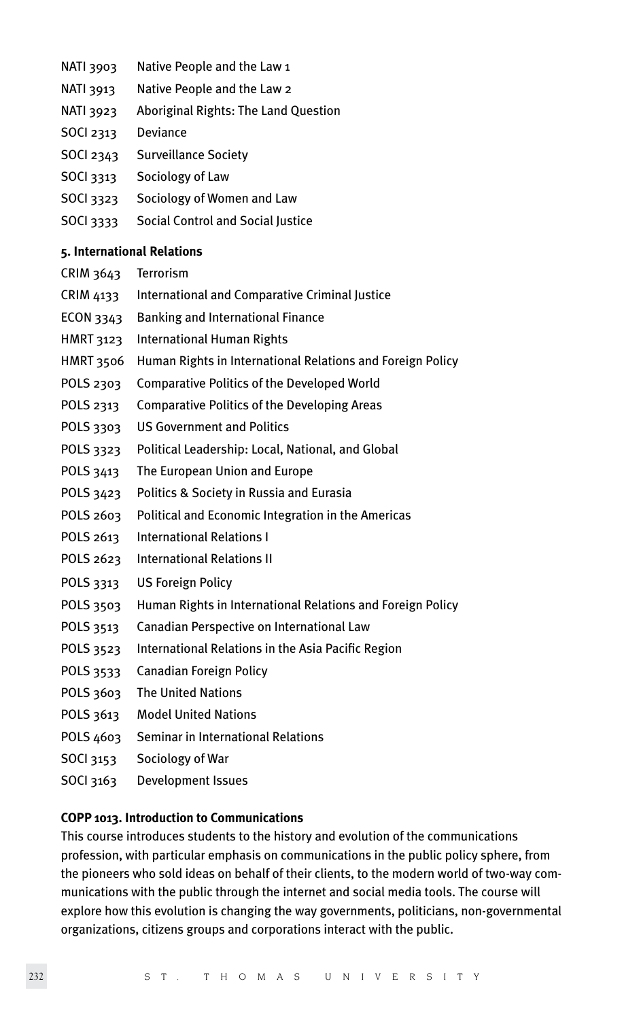- NATI 3903 Native People and the Law 1
- NATI 3913 Native People and the Law 2
- NATI 3923 Aboriginal Rights: The Land Question
- SOCI 2313 Deviance
- SOCI 2343 Surveillance Society
- SOCI 3313 Sociology of Law
- SOCI 3323 Sociology of Women and Law
- SOCI 3333 Social Control and Social Justice

#### **5. International Relations**

- CRIM 3643 Terrorism
- CRIM 4133 International and Comparative Criminal Justice
- ECON 3343 Banking and International Finance
- HMRT 3123 International Human Rights
- HMRT 3506 Human Rights in International Relations and Foreign Policy
- POLS 2303 Comparative Politics of the Developed World
- POLS 2313 Comparative Politics of the Developing Areas
- POLS 3303 US Government and Politics
- POLS 3323 Political Leadership: Local, National, and Global
- POLS 3413 The European Union and Europe
- POLS 3423 Politics & Society in Russia and Eurasia
- POLS 2603 Political and Economic Integration in the Americas
- POLS 2613 International Relations I
- POLS 2623 International Relations II
- POLS 3313 US Foreign Policy
- POLS 3503 Human Rights in International Relations and Foreign Policy
- POLS 3513 Canadian Perspective on International Law
- POLS 3523 International Relations in the Asia Pacific Region
- POLS 3533 Canadian Foreign Policy
- POLS 3603 The United Nations
- POLS 3613 Model United Nations
- POLS 4603 Seminar in International Relations
- SOCI 3153 Sociology of War
- SOCI 3163 Development Issues

#### **COPP 1013. Introduction to Communications**

This course introduces students to the history and evolution of the communications profession, with particular emphasis on communications in the public policy sphere, from the pioneers who sold ideas on behalf of their clients, to the modern world of two-way communications with the public through the internet and social media tools. The course will explore how this evolution is changing the way governments, politicians, non-governmental organizations, citizens groups and corporations interact with the public.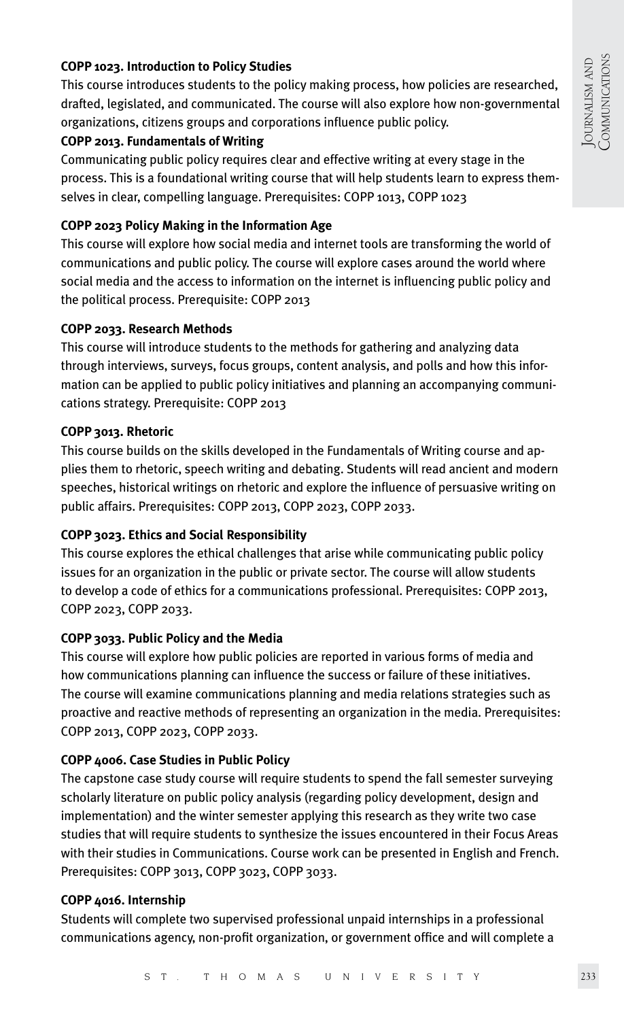#### **COPP 1023. Introduction to Policy Studies**

This course introduces students to the policy making process, how policies are researched, drafted, legislated, and communicated. The course will also explore how non-governmental organizations, citizens groups and corporations influence public policy.

#### **COPP 2013. Fundamentals of Writing**

Communicating public policy requires clear and effective writing at every stage in the process. This is a foundational writing course that will help students learn to express themselves in clear, compelling language. Prerequisites: COPP 1013, COPP 1023

#### **COPP 2023 Policy Making in the Information Age**

This course will explore how social media and internet tools are transforming the world of communications and public policy. The course will explore cases around the world where social media and the access to information on the internet is influencing public policy and the political process. Prerequisite: COPP 2013

#### **COPP 2033. Research Methods**

This course will introduce students to the methods for gathering and analyzing data through interviews, surveys, focus groups, content analysis, and polls and how this information can be applied to public policy initiatives and planning an accompanying communications strategy. Prerequisite: COPP 2013

#### **COPP 3013. Rhetoric**

This course builds on the skills developed in the Fundamentals of Writing course and applies them to rhetoric, speech writing and debating. Students will read ancient and modern speeches, historical writings on rhetoric and explore the influence of persuasive writing on public affairs. Prerequisites: COPP 2013, COPP 2023, COPP 2033.

#### **COPP 3023. Ethics and Social Responsibility**

This course explores the ethical challenges that arise while communicating public policy issues for an organization in the public or private sector. The course will allow students to develop a code of ethics for a communications professional. Prerequisites: COPP 2013, COPP 2023, COPP 2033.

#### **COPP 3033. Public Policy and the Media**

This course will explore how public policies are reported in various forms of media and how communications planning can influence the success or failure of these initiatives. The course will examine communications planning and media relations strategies such as proactive and reactive methods of representing an organization in the media. Prerequisites: COPP 2013, COPP 2023, COPP 2033.

#### **COPP 4006. Case Studies in Public Policy**

The capstone case study course will require students to spend the fall semester surveying scholarly literature on public policy analysis (regarding policy development, design and implementation) and the winter semester applying this research as they write two case studies that will require students to synthesize the issues encountered in their Focus Areas with their studies in Communications. Course work can be presented in English and French. Prerequisites: COPP 3013, COPP 3023, COPP 3033.

#### **COPP 4016. Internship**

Students will complete two supervised professional unpaid internships in a professional communications agency, non-profit organization, or government office and will complete a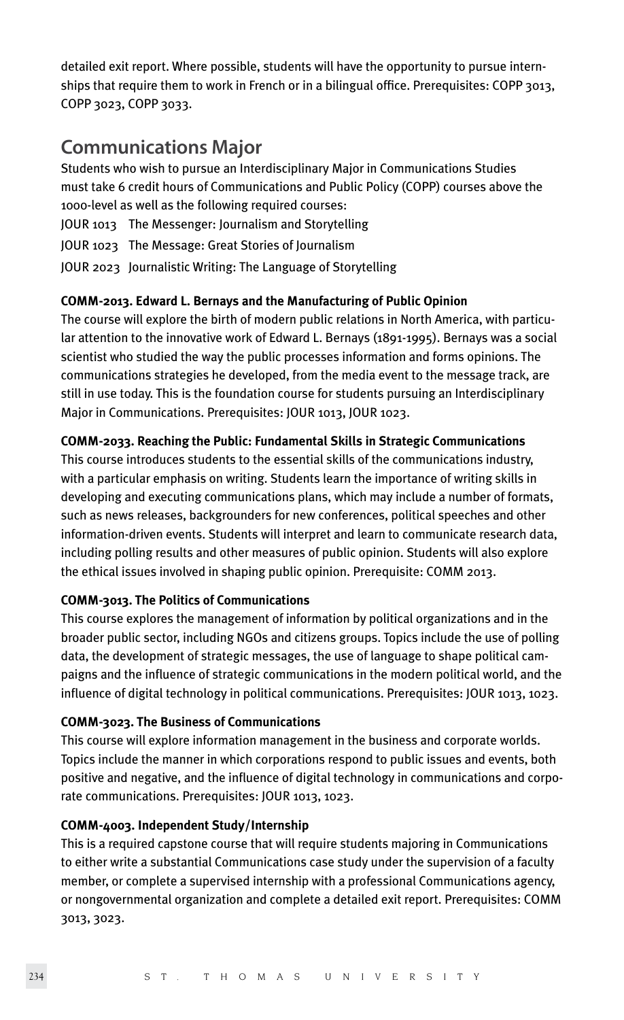detailed exit report. Where possible, students will have the opportunity to pursue internships that require them to work in French or in a bilingual office. Prerequisites: COPP 3013, COPP 3023, COPP 3033.

### **Communications Major**

Students who wish to pursue an Interdisciplinary Major in Communications Studies must take 6 credit hours of Communications and Public Policy (COPP) courses above the 1000-level as well as the following required courses:

- JOUR 1013 The Messenger: Journalism and Storytelling
- JOUR 1023 The Message: Great Stories of Journalism
- JOUR 2023 Journalistic Writing: The Language of Storytelling

#### **COMM-2013. Edward L. Bernays and the Manufacturing of Public Opinion**

The course will explore the birth of modern public relations in North America, with particular attention to the innovative work of Edward L. Bernays (1891-1995). Bernays was a social scientist who studied the way the public processes information and forms opinions. The communications strategies he developed, from the media event to the message track, are still in use today. This is the foundation course for students pursuing an Interdisciplinary Major in Communications. Prerequisites: JOUR 1013, JOUR 1023.

#### **COMM-2033. Reaching the Public: Fundamental Skills in Strategic Communications**

This course introduces students to the essential skills of the communications industry, with a particular emphasis on writing. Students learn the importance of writing skills in developing and executing communications plans, which may include a number of formats, such as news releases, backgrounders for new conferences, political speeches and other information-driven events. Students will interpret and learn to communicate research data, including polling results and other measures of public opinion. Students will also explore the ethical issues involved in shaping public opinion. Prerequisite: COMM 2013.

#### **COMM-3013. The Politics of Communications**

This course explores the management of information by political organizations and in the broader public sector, including NGOs and citizens groups. Topics include the use of polling data, the development of strategic messages, the use of language to shape political campaigns and the influence of strategic communications in the modern political world, and the influence of digital technology in political communications. Prerequisites: JOUR 1013, 1023.

#### **COMM-3023. The Business of Communications**

This course will explore information management in the business and corporate worlds. Topics include the manner in which corporations respond to public issues and events, both positive and negative, and the influence of digital technology in communications and corporate communications. Prerequisites: JOUR 1013, 1023.

#### **COMM-4003. Independent Study/Internship**

This is a required capstone course that will require students majoring in Communications to either write a substantial Communications case study under the supervision of a faculty member, or complete a supervised internship with a professional Communications agency, or nongovernmental organization and complete a detailed exit report. Prerequisites: COMM 3013, 3023.